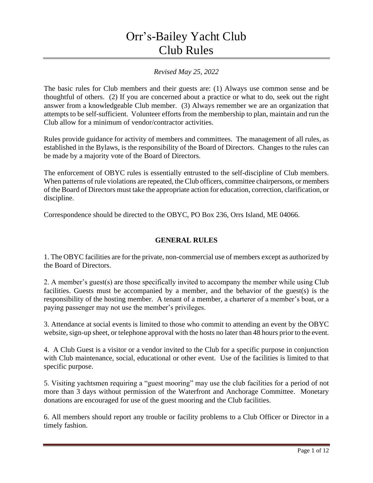# Orr's-Bailey Yacht Club Club Rules

# *Revised May 25, 2022*

The basic rules for Club members and their guests are: (1) Always use common sense and be thoughtful of others. (2) If you are concerned about a practice or what to do, seek out the right answer from a knowledgeable Club member. (3) Always remember we are an organization that attempts to be self-sufficient. Volunteer efforts from the membership to plan, maintain and run the Club allow for a minimum of vendor/contractor activities.

Rules provide guidance for activity of members and committees. The management of all rules, as established in the Bylaws, is the responsibility of the Board of Directors. Changes to the rules can be made by a majority vote of the Board of Directors.

The enforcement of OBYC rules is essentially entrusted to the self-discipline of Club members. When patterns of rule violations are repeated, the Club officers, committee chairpersons, or members of the Board of Directors must take the appropriate action for education, correction, clarification, or discipline.

Correspondence should be directed to the OBYC, PO Box 236, Orrs Island, ME 04066.

# **GENERAL RULES**

1. The OBYC facilities are for the private, non-commercial use of members except as authorized by the Board of Directors.

2. A member's guest(s) are those specifically invited to accompany the member while using Club facilities. Guests must be accompanied by a member, and the behavior of the guest(s) is the responsibility of the hosting member. A tenant of a member, a charterer of a member's boat, or a paying passenger may not use the member's privileges.

3. Attendance at social events is limited to those who commit to attending an event by the OBYC website, sign-up sheet, or telephone approval with the hosts no later than 48 hours prior to the event.

4. A Club Guest is a visitor or a vendor invited to the Club for a specific purpose in conjunction with Club maintenance, social, educational or other event. Use of the facilities is limited to that specific purpose.

5. Visiting yachtsmen requiring a "guest mooring" may use the club facilities for a period of not more than 3 days without permission of the Waterfront and Anchorage Committee. Monetary donations are encouraged for use of the guest mooring and the Club facilities.

6. All members should report any trouble or facility problems to a Club Officer or Director in a timely fashion.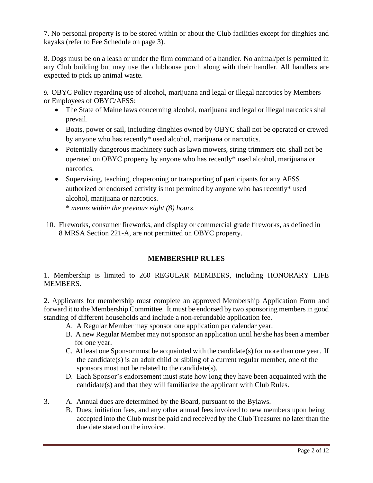7. No personal property is to be stored within or about the Club facilities except for dinghies and kayaks (refer to Fee Schedule on page 3).

8. Dogs must be on a leash or under the firm command of a handler. No animal/pet is permitted in any Club building but may use the clubhouse porch along with their handler. All handlers are expected to pick up animal waste.

9. OBYC Policy regarding use of alcohol, marijuana and legal or illegal narcotics by Members or Employees of OBYC/AFSS:

- The State of Maine laws concerning alcohol, marijuana and legal or illegal narcotics shall prevail.
- Boats, power or sail, including dinghies owned by OBYC shall not be operated or crewed by anyone who has recently\* used alcohol, marijuana or narcotics.
- Potentially dangerous machinery such as lawn mowers, string trimmers etc. shall not be operated on OBYC property by anyone who has recently\* used alcohol, marijuana or narcotics.
- Supervising, teaching, chaperoning or transporting of participants for any AFSS authorized or endorsed activity is not permitted by anyone who has recently\* used alcohol, marijuana or narcotics.

\* *means within the previous eight (8) hours*.

10. Fireworks, consumer fireworks, and display or commercial grade fireworks, as defined in 8 MRSA Section 221-A, are not permitted on OBYC property.

# **MEMBERSHIP RULES**

1. Membership is limited to 260 REGULAR MEMBERS, including HONORARY LIFE MEMBERS.

2. Applicants for membership must complete an approved Membership Application Form and forward it to the Membership Committee. It must be endorsed by two sponsoring members in good standing of different households and include a non-refundable application fee.

- A. A Regular Member may sponsor one application per calendar year.
- B. A new Regular Member may not sponsor an application until he/she has been a member for one year.
- C. At least one Sponsor must be acquainted with the candidate(s) for more than one year. If the candidate(s) is an adult child or sibling of a current regular member, one of the sponsors must not be related to the candidate(s).
- D. Each Sponsor's endorsement must state how long they have been acquainted with the candidate(s) and that they will familiarize the applicant with Club Rules.
- 3. A. Annual dues are determined by the Board, pursuant to the Bylaws.
	- B. Dues, initiation fees, and any other annual fees invoiced to new members upon being accepted into the Club must be paid and received by the Club Treasurer no later than the due date stated on the invoice.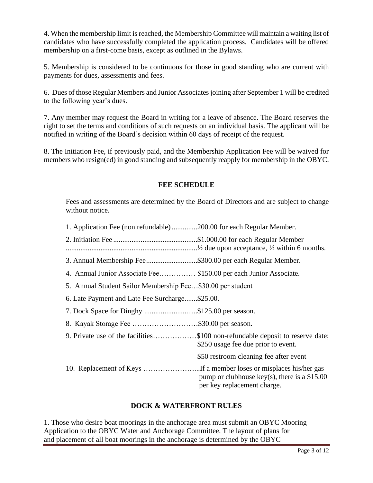4. When the membership limit is reached, the Membership Committee will maintain a waiting list of candidates who have successfully completed the application process. Candidates will be offered membership on a first-come basis, except as outlined in the Bylaws.

5. Membership is considered to be continuous for those in good standing who are current with payments for dues, assessments and fees.

6. Dues of those Regular Members and Junior Associates joining after September 1 will be credited to the following year's dues.

7. Any member may request the Board in writing for a leave of absence. The Board reserves the right to set the terms and conditions of such requests on an individual basis. The applicant will be notified in writing of the Board's decision within 60 days of receipt of the request.

8. The Initiation Fee, if previously paid, and the Membership Application Fee will be waived for members who resign(ed) in good standing and subsequently reapply for membership in the OBYC.

#### **FEE SCHEDULE**

Fees and assessments are determined by the Board of Directors and are subject to change without notice.

| 1. Application Fee (non refundable) 200.00 for each Regular Member. |  |
|---------------------------------------------------------------------|--|
|                                                                     |  |

2. Initiation Fee ..............................................\$1.000.00 for each Regular Member

........................................................................½ due upon acceptance, ½ within 6 months.

- 3. Annual Membership Fee............................\$300.00 per each Regular Member.
- 4. Annual Junior Associate Fee…………… \$150.00 per each Junior Associate.
- 5. Annual Student Sailor Membership Fee…\$30.00 per student
- 6. Late Payment and Late Fee Surcharge.......\$25.00.
- 7. Dock Space for Dinghy .............................\$125.00 per season.
- 8. Kayak Storage Fee ………………………\$30.00 per season.
- 9. Private use of the facilities………………\$100 non-refundable deposit to reserve date; \$250 usage fee due prior to event. \$50 restroom cleaning fee after event 10. Replacement of Keys …………………...If a member loses or misplaces his/her gas
	- pump or clubhouse key(s), there is a \$15.00 per key replacement charge.

## **DOCK & WATERFRONT RULES**

1. Those who desire boat moorings in the anchorage area must submit an OBYC Mooring Application to the OBYC Water and Anchorage Committee. The layout of plans for and placement of all boat moorings in the anchorage is determined by the OBYC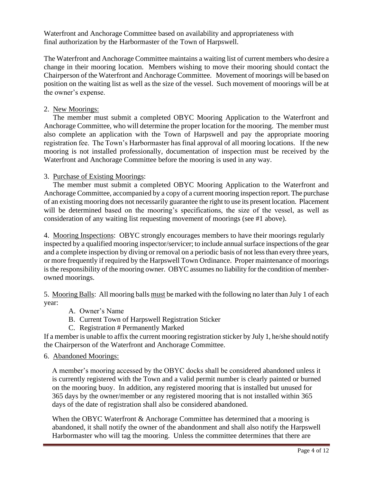Waterfront and Anchorage Committee based on availability and appropriateness with final authorization by the Harbormaster of the Town of Harpswell.

The Waterfront and Anchorage Committee maintains a waiting list of current members who desire a change in their mooring location. Members wishing to move their mooring should contact the Chairperson of the Waterfront and Anchorage Committee. Movement of moorings will be based on position on the waiting list as well as the size of the vessel. Such movement of moorings will be at the owner's expense.

### 2. New Moorings:

 The member must submit a completed OBYC Mooring Application to the Waterfront and Anchorage Committee, who will determine the proper location for the mooring. The member must also complete an application with the Town of Harpswell and pay the appropriate mooring registration fee. The Town's Harbormaster has final approval of all mooring locations. If the new mooring is not installed professionally, documentation of inspection must be received by the Waterfront and Anchorage Committee before the mooring is used in any way.

#### 3. Purchase of Existing Moorings:

 The member must submit a completed OBYC Mooring Application to the Waterfront and Anchorage Committee, accompanied by a copy of a current mooring inspection report. The purchase of an existing mooring does not necessarily guarantee the right to use its present location. Placement will be determined based on the mooring's specifications, the size of the vessel, as well as consideration of any waiting list requesting movement of moorings (see #1 above).

4. Mooring Inspections: OBYC strongly encourages members to have their moorings regularly inspected by a qualified mooring inspector/servicer; to include annual surface inspections of the gear and a complete inspection by diving or removal on a periodic basis of not less than every three years, or more frequently if required by the Harpswell Town Ordinance. Proper maintenance of moorings is the responsibility of the mooring owner. OBYC assumes no liability for the condition of memberowned moorings.

5. Mooring Balls: All mooring balls must be marked with the following no later than July 1 of each year:

- A. Owner's Name
- B. Current Town of Harpswell Registration Sticker
- C. Registration # Permanently Marked

If a member is unable to affix the current mooring registration sticker by July 1, he/she should notify the Chairperson of the Waterfront and Anchorage Committee.

#### 6. Abandoned Moorings:

A member's mooring accessed by the OBYC docks shall be considered abandoned unless it is currently registered with the Town and a valid permit number is clearly painted or burned on the mooring buoy. In addition, any registered mooring that is installed but unused for 365 days by the owner/member or any registered mooring that is not installed within 365 days of the date of registration shall also be considered abandoned.

When the OBYC Waterfront & Anchorage Committee has determined that a mooring is abandoned, it shall notify the owner of the abandonment and shall also notify the Harpswell Harbormaster who will tag the mooring. Unless the committee determines that there are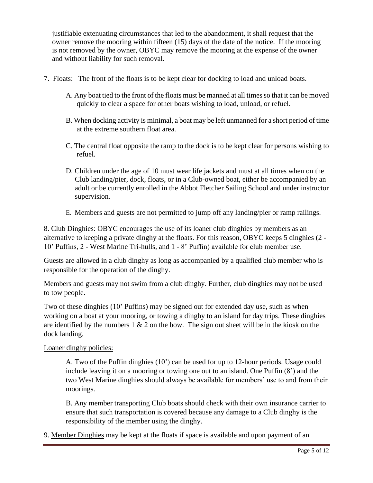justifiable extenuating circumstances that led to the abandonment, it shall request that the owner remove the mooring within fifteen (15) days of the date of the notice. If the mooring is not removed by the owner, OBYC may remove the mooring at the expense of the owner and without liability for such removal.

- 7. Floats: The front of the floats is to be kept clear for docking to load and unload boats.
	- A. Any boat tied to the front of the floats must be manned at all times so that it can be moved quickly to clear a space for other boats wishing to load, unload, or refuel.
	- B. When docking activity is minimal, a boat may be left unmanned for a short period of time at the extreme southern float area.
	- C. The central float opposite the ramp to the dock is to be kept clear for persons wishing to refuel.
	- D. Children under the age of 10 must wear life jackets and must at all times when on the Club landing/pier, dock, floats, or in a Club-owned boat, either be accompanied by an adult or be currently enrolled in the Abbot Fletcher Sailing School and under instructor supervision*.*
	- E. Members and guests are not permitted to jump off any landing/pier or ramp railings.

8. Club Dinghies: OBYC encourages the use of its loaner club dinghies by members as an alternative to keeping a private dinghy at the floats. For this reason, OBYC keeps 5 dinghies (2 - 10' Puffins, 2 - West Marine Tri-hulls, and 1 - 8' Puffin) available for club member use.

Guests are allowed in a club dinghy as long as accompanied by a qualified club member who is responsible for the operation of the dinghy.

Members and guests may not swim from a club dinghy. Further, club dinghies may not be used to tow people.

Two of these dinghies (10' Puffins) may be signed out for extended day use, such as when working on a boat at your mooring, or towing a dinghy to an island for day trips. These dinghies are identified by the numbers  $1 \& 2$  on the bow. The sign out sheet will be in the kiosk on the dock landing.

## Loaner dinghy policies:

A. Two of the Puffin dinghies (10') can be used for up to 12-hour periods. Usage could include leaving it on a mooring or towing one out to an island. One Puffin (8') and the two West Marine dinghies should always be available for members' use to and from their moorings.

B. Any member transporting Club boats should check with their own insurance carrier to ensure that such transportation is covered because any damage to a Club dinghy is the responsibility of the member using the dinghy.

9. Member Dinghies may be kept at the floats if space is available and upon payment of an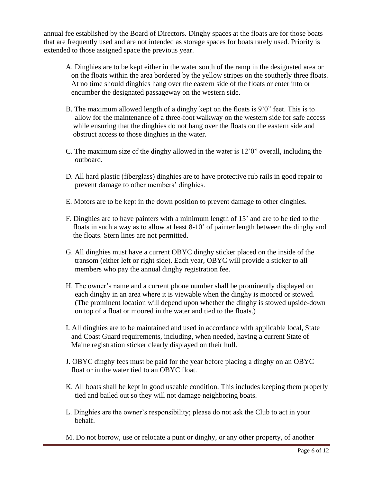annual fee established by the Board of Directors. Dinghy spaces at the floats are for those boats that are frequently used and are not intended as storage spaces for boats rarely used. Priority is extended to those assigned space the previous year.

- A. Dinghies are to be kept either in the water south of the ramp in the designated area or on the floats within the area bordered by the yellow stripes on the southerly three floats. At no time should dinghies hang over the eastern side of the floats or enter into or encumber the designated passageway on the western side.
- B. The maximum allowed length of a dinghy kept on the floats is 9'0" feet. This is to allow for the maintenance of a three-foot walkway on the western side for safe access while ensuring that the dinghies do not hang over the floats on the eastern side and obstruct access to those dinghies in the water.
- C. The maximum size of the dinghy allowed in the water is 12'0" overall, including the outboard.
- D. All hard plastic (fiberglass) dinghies are to have protective rub rails in good repair to prevent damage to other members' dinghies.
- E. Motors are to be kept in the down position to prevent damage to other dinghies.
- F. Dinghies are to have painters with a minimum length of 15' and are to be tied to the floats in such a way as to allow at least 8-10' of painter length between the dinghy and the floats. Stern lines are not permitted.
- G. All dinghies must have a current OBYC dinghy sticker placed on the inside of the transom (either left or right side). Each year, OBYC will provide a sticker to all members who pay the annual dinghy registration fee.
- H. The owner's name and a current phone number shall be prominently displayed on each dinghy in an area where it is viewable when the dinghy is moored or stowed. (The prominent location will depend upon whether the dinghy is stowed upside-down on top of a float or moored in the water and tied to the floats.)
- I. All dinghies are to be maintained and used in accordance with applicable local, State and Coast Guard requirements, including, when needed, having a current State of Maine registration sticker clearly displayed on their hull.
- J. OBYC dinghy fees must be paid for the year before placing a dinghy on an OBYC float or in the water tied to an OBYC float.
- K. All boats shall be kept in good useable condition. This includes keeping them properly tied and bailed out so they will not damage neighboring boats.
- L. Dinghies are the owner's responsibility; please do not ask the Club to act in your behalf.
- M. Do not borrow, use or relocate a punt or dinghy, or any other property, of another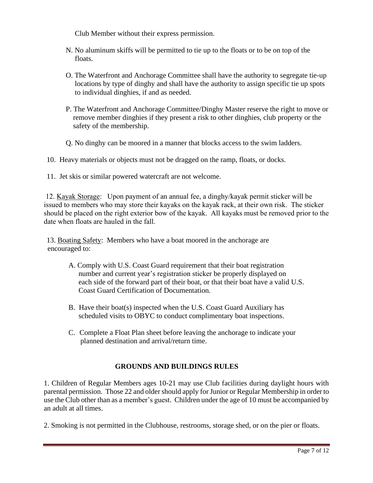Club Member without their express permission.

- N. No aluminum skiffs will be permitted to tie up to the floats or to be on top of the floats.
- O. The Waterfront and Anchorage Committee shall have the authority to segregate tie-up locations by type of dinghy and shall have the authority to assign specific tie up spots to individual dinghies, if and as needed.
- P. The Waterfront and Anchorage Committee/Dinghy Master reserve the right to move or remove member dinghies if they present a risk to other dinghies, club property or the safety of the membership.
- Q. No dinghy can be moored in a manner that blocks access to the swim ladders.
- 10. Heavy materials or objects must not be dragged on the ramp, floats, or docks.
- 11. Jet skis or similar powered watercraft are not welcome.

12. Kayak Storage: Upon payment of an annual fee, a dinghy/kayak permit sticker will be issued to members who may store their kayaks on the kayak rack, at their own risk. The sticker should be placed on the right exterior bow of the kayak. All kayaks must be removed prior to the date when floats are hauled in the fall.

13. Boating Safety: Members who have a boat moored in the anchorage are encouraged to:

- A. Comply with U.S. Coast Guard requirement that their boat registration number and current year's registration sticker be properly displayed on each side of the forward part of their boat, or that their boat have a valid U.S. Coast Guard Certification of Documentation.
- B. Have their boat(s) inspected when the U.S. Coast Guard Auxiliary has scheduled visits to OBYC to conduct complimentary boat inspections.
- C. Complete a Float Plan sheet before leaving the anchorage to indicate your planned destination and arrival/return time.

## **GROUNDS AND BUILDINGS RULES**

1. Children of Regular Members ages 10-21 may use Club facilities during daylight hours with parental permission. Those 22 and older should apply for Junior or Regular Membership in order to use the Club other than as a member's guest. Children under the age of 10 must be accompanied by an adult at all times.

2. Smoking is not permitted in the Clubhouse, restrooms, storage shed, or on the pier or floats.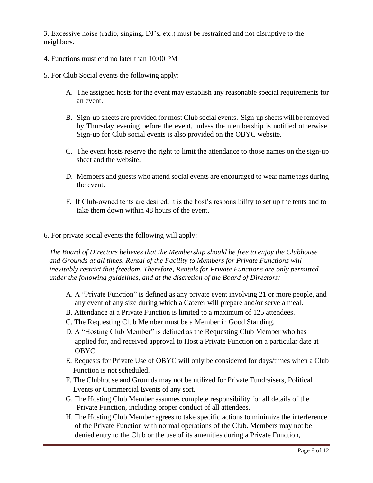3. Excessive noise (radio, singing, DJ's, etc.) must be restrained and not disruptive to the neighbors.

- 4. Functions must end no later than 10:00 PM
- 5. For Club Social events the following apply:
	- A. The assigned hosts for the event may establish any reasonable special requirements for an event.
	- B. Sign-up sheets are provided for most Club social events. Sign-up sheets will be removed by Thursday evening before the event, unless the membership is notified otherwise. Sign-up for Club social events is also provided on the OBYC website.
	- C. The event hosts reserve the right to limit the attendance to those names on the sign-up sheet and the website.
	- D. Members and guests who attend social events are encouraged to wear name tags during the event.
	- F. If Club-owned tents are desired, it is the host's responsibility to set up the tents and to take them down within 48 hours of the event.
- 6. For private social events the following will apply:

*The Board of Directors believes that the Membership should be free to enjoy the Clubhouse and Grounds at all times. Rental of the Facility to Members for Private Functions will inevitably restrict that freedom. Therefore, Rentals for Private Functions are only permitted under the following guidelines, and at the discretion of the Board of Directors:*

- A. A "Private Function" is defined as any private event involving 21 or more people, and any event of any size during which a Caterer will prepare and/or serve a meal.
- B. Attendance at a Private Function is limited to a maximum of 125 attendees.
- C. The Requesting Club Member must be a Member in Good Standing.
- D. A "Hosting Club Member" is defined as the Requesting Club Member who has applied for, and received approval to Host a Private Function on a particular date at OBYC.
- E. Requests for Private Use of OBYC will only be considered for days/times when a Club Function is not scheduled.
- F. The Clubhouse and Grounds may not be utilized for Private Fundraisers, Political Events or Commercial Events of any sort.
- G. The Hosting Club Member assumes complete responsibility for all details of the Private Function, including proper conduct of all attendees.
- H. The Hosting Club Member agrees to take specific actions to minimize the interference of the Private Function with normal operations of the Club. Members may not be denied entry to the Club or the use of its amenities during a Private Function,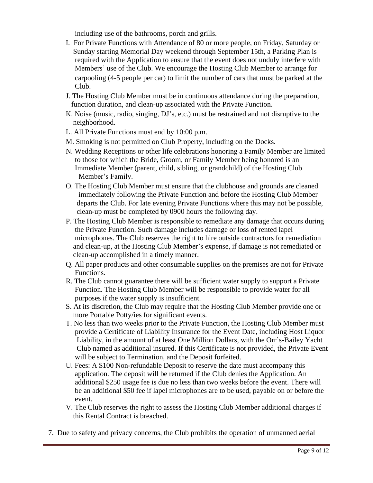including use of the bathrooms, porch and grills.

- I. For Private Functions with Attendance of 80 or more people, on Friday, Saturday or Sunday starting Memorial Day weekend through September 15th, a Parking Plan is required with the Application to ensure that the event does not unduly interfere with Members' use of the Club. We encourage the Hosting Club Member to arrange for carpooling (4-5 people per car) to limit the number of cars that must be parked at the Club.
- J. The Hosting Club Member must be in continuous attendance during the preparation, function duration, and clean-up associated with the Private Function.
- K. Noise (music, radio, singing, DJ's, etc.) must be restrained and not disruptive to the neighborhood.
- L. All Private Functions must end by 10:00 p.m.
- M. Smoking is not permitted on Club Property, including on the Docks.
- N. Wedding Receptions or other life celebrations honoring a Family Member are limited to those for which the Bride, Groom, or Family Member being honored is an Immediate Member (parent, child, sibling, or grandchild) of the Hosting Club Member's Family.
- O. The Hosting Club Member must ensure that the clubhouse and grounds are cleaned immediately following the Private Function and before the Hosting Club Member departs the Club. For late evening Private Functions where this may not be possible, clean-up must be completed by 0900 hours the following day.
- P. The Hosting Club Member is responsible to remediate any damage that occurs during the Private Function. Such damage includes damage or loss of rented lapel microphones. The Club reserves the right to hire outside contractors for remediation and clean-up, at the Hosting Club Member's expense, if damage is not remediated or clean-up accomplished in a timely manner.
- Q. All paper products and other consumable supplies on the premises are not for Private Functions.
- R. The Club cannot guarantee there will be sufficient water supply to support a Private Function. The Hosting Club Member will be responsible to provide water for all purposes if the water supply is insufficient.
- S. At its discretion, the Club may require that the Hosting Club Member provide one or more Portable Potty/ies for significant events.
- T. No less than two weeks prior to the Private Function, the Hosting Club Member must provide a Certificate of Liability Insurance for the Event Date, including Host Liquor Liability, in the amount of at least One Million Dollars, with the Orr's-Bailey Yacht Club named as additional insured. If this Certificate is not provided, the Private Event will be subject to Termination, and the Deposit forfeited.
- U. Fees: A \$100 Non-refundable Deposit to reserve the date must accompany this application. The deposit will be returned if the Club denies the Application. An additional \$250 usage fee is due no less than two weeks before the event. There will be an additional \$50 fee if lapel microphones are to be used, payable on or before the event.
- V. The Club reserves the right to assess the Hosting Club Member additional charges if this Rental Contract is breached.
- 7. Due to safety and privacy concerns, the Club prohibits the operation of unmanned aerial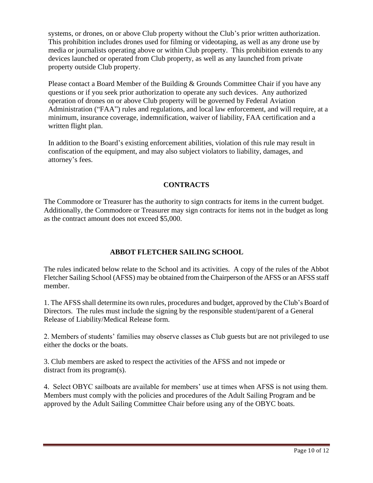systems, or drones, on or above Club property without the Club's prior written authorization. This prohibition includes drones used for filming or videotaping, as well as any drone use by media or journalists operating above or within Club property. This prohibition extends to any devices launched or operated from Club property, as well as any launched from private property outside Club property.

Please contact a Board Member of the Building & Grounds Committee Chair if you have any questions or if you seek prior authorization to operate any such devices. Any authorized operation of drones on or above Club property will be governed by Federal Aviation Administration ("FAA") rules and regulations, and local law enforcement, and will require, at a minimum, insurance coverage, indemnification, waiver of liability, FAA certification and a written flight plan.

In addition to the Board's existing enforcement abilities, violation of this rule may result in confiscation of the equipment, and may also subject violators to liability, damages, and attorney's fees.

## **CONTRACTS**

The Commodore or Treasurer has the authority to sign contracts for items in the current budget. Additionally, the Commodore or Treasurer may sign contracts for items not in the budget as long as the contract amount does not exceed \$5,000.

# **ABBOT FLETCHER SAILING SCHOOL**

The rules indicated below relate to the School and its activities. A copy of the rules of the Abbot Fletcher Sailing School (AFSS) may be obtained from the Chairperson of the AFSS or an AFSS staff member.

1. The AFSS shall determine its own rules, procedures and budget, approved by the Club's Board of Directors. The rules must include the signing by the responsible student/parent of a General Release of Liability/Medical Release form.

2. Members of students' families may observe classes as Club guests but are not privileged to use either the docks or the boats.

3. Club members are asked to respect the activities of the AFSS and not impede or distract from its program(s).

4. Select OBYC sailboats are available for members' use at times when AFSS is not using them. Members must comply with the policies and procedures of the Adult Sailing Program and be approved by the Adult Sailing Committee Chair before using any of the OBYC boats.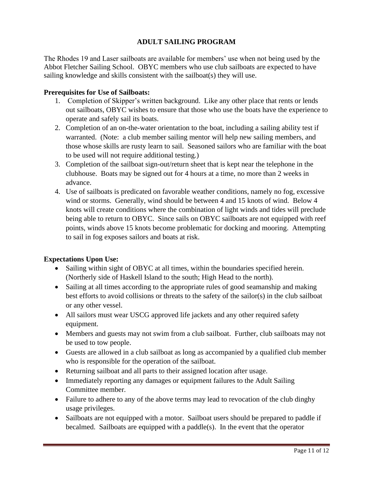# **ADULT SAILING PROGRAM**

The Rhodes 19 and Laser sailboats are available for members' use when not being used by the Abbot Fletcher Sailing School. OBYC members who use club sailboats are expected to have sailing knowledge and skills consistent with the sailboat(s) they will use.

#### **Prerequisites for Use of Sailboats:**

- 1. Completion of Skipper's written background. Like any other place that rents or lends out sailboats, OBYC wishes to ensure that those who use the boats have the experience to operate and safely sail its boats.
- 2. Completion of an on-the-water orientation to the boat, including a sailing ability test if warranted. (Note: a club member sailing mentor will help new sailing members, and those whose skills are rusty learn to sail. Seasoned sailors who are familiar with the boat to be used will not require additional testing.)
- 3. Completion of the sailboat sign-out/return sheet that is kept near the telephone in the clubhouse. Boats may be signed out for 4 hours at a time, no more than 2 weeks in advance.
- 4. Use of sailboats is predicated on favorable weather conditions, namely no fog, excessive wind or storms. Generally, wind should be between 4 and 15 knots of wind. Below 4 knots will create conditions where the combination of light winds and tides will preclude being able to return to OBYC. Since sails on OBYC sailboats are not equipped with reef points, winds above 15 knots become problematic for docking and mooring. Attempting to sail in fog exposes sailors and boats at risk.

## **Expectations Upon Use:**

- Sailing within sight of OBYC at all times, within the boundaries specified herein. (Northerly side of Haskell Island to the south; High Head to the north).
- Sailing at all times according to the appropriate rules of good seamanship and making best efforts to avoid collisions or threats to the safety of the sailor(s) in the club sailboat or any other vessel.
- All sailors must wear USCG approved life jackets and any other required safety equipment.
- Members and guests may not swim from a club sailboat. Further, club sailboats may not be used to tow people.
- Guests are allowed in a club sailboat as long as accompanied by a qualified club member who is responsible for the operation of the sailboat.
- Returning sailboat and all parts to their assigned location after usage.
- Immediately reporting any damages or equipment failures to the Adult Sailing Committee member.
- Failure to adhere to any of the above terms may lead to revocation of the club dinghy usage privileges.
- Sailboats are not equipped with a motor. Sailboat users should be prepared to paddle if becalmed. Sailboats are equipped with a paddle(s). In the event that the operator